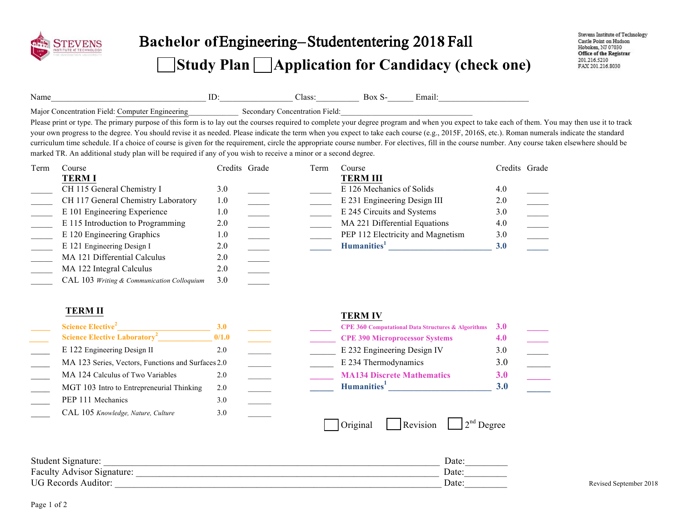

# Bachelor of Engineering-Student entering 2018 Fall **Study Plan Application for Candidacy (check one)**

| Name                                                      | las: | mai |  |
|-----------------------------------------------------------|------|-----|--|
| Maior.<br>Computer.<br>entration<br>Engineering<br>۱۵۱ ه. | ield |     |  |

Please print or type. The primary purpose of this form is to lay out the courses required to complete your degree program and when you expect to take each of them. You may then use it to track your own progress to the degree. You should revise it as needed. Please indicate the term when you expect to take each course (e.g., 2015F, 2016S, etc.). Roman numerals indicate the standard curriculum time schedule. If a choice of course is given for the requirement, circle the appropriate course number. For electives, fill in the course number. Any course taken elsewhere should be marked TR. An additional study plan will be required if any of you wish to receive a minor or a second degree.

| Term | Course                                     | Credits Grade | Term | Course                            | Credits Grade |  |
|------|--------------------------------------------|---------------|------|-----------------------------------|---------------|--|
|      | <b>TERMI</b>                               |               |      | <b>TERM III</b>                   |               |  |
|      | CH 115 General Chemistry I                 | 3.0           |      | E 126 Mechanics of Solids         | 4.0           |  |
|      | CH 117 General Chemistry Laboratory        | 1.0           |      | E 231 Engineering Design III      | 2.0           |  |
|      | E 101 Engineering Experience               | 1.0           |      | E 245 Circuits and Systems        | 3.0           |  |
|      | E 115 Introduction to Programming          | 2.0           |      | MA 221 Differential Equations     | 4.0           |  |
|      | E 120 Engineering Graphics                 | 1.0           |      | PEP 112 Electricity and Magnetism | 3.0           |  |
|      | E 121 Engineering Design I                 | 2.0           |      | Humanities <sup>1</sup>           | 3.0           |  |
|      | MA 121 Differential Calculus               | 2.0           |      |                                   |               |  |
|      | MA 122 Integral Calculus                   | 2.0           |      |                                   |               |  |
|      | CAL 103 Writing & Communication Colloquium | 3.0           |      |                                   |               |  |

### **TERM II TERM IV**

| Science Elective <sup>2</sup>                      | <b>3.0</b> |  |
|----------------------------------------------------|------------|--|
| <b>Science Elective Laboratory<sup>2</sup></b>     | 0/1.0      |  |
| E 122 Engineering Design II                        | 2.0        |  |
| MA 123 Series, Vectors, Functions and Surfaces 2.0 |            |  |
| MA 124 Calculus of Two Variables                   | 2.0        |  |
| MGT 103 Intro to Entrepreneurial Thinking          | 2.0        |  |
| PEP 111 Mechanics                                  | 3.0        |  |
| CAL 105 Knowledge, Nature, Culture                 | 3.0        |  |

| Science Elective <sup>2</sup>                      |       |  | <b>CPE 360 Computational Data Structures &amp; Algorithms</b> $3.0$ |     |  |
|----------------------------------------------------|-------|--|---------------------------------------------------------------------|-----|--|
| <b>Science Elective Laboratory<sup>2</sup></b>     | 0/1.0 |  | <b>CPE 390 Microprocessor Systems</b>                               |     |  |
| E 122 Engineering Design II                        |       |  | E 232 Engineering Design IV                                         | 3.0 |  |
| MA 123 Series, Vectors, Functions and Surfaces 2.0 |       |  | E 234 Thermodynamics                                                |     |  |
| MA 124 Calculus of Two Variables                   |       |  | <b>MA134 Discrete Mathematics</b>                                   | 3.0 |  |
| MGT 103 Intro to Entrepreneurial Thinking          | 2.0   |  | Humanities <sup>1</sup>                                             |     |  |

| <b>Revision</b><br>1 Original | $1$ <sup>nd</sup> Degrec |
|-------------------------------|--------------------------|
|-------------------------------|--------------------------|

| Student Signature:         | Date: |                        |
|----------------------------|-------|------------------------|
| Faculty Advisor Signature: | Date: |                        |
| <b>UG Records Auditor:</b> | Date  | Revised September 2018 |